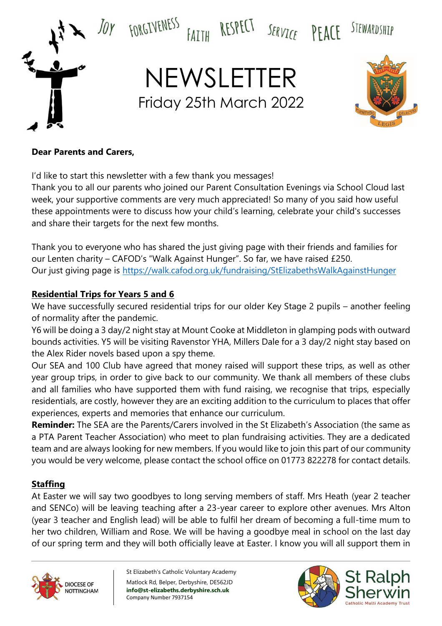

### **Dear Parents and Carers,**

I'd like to start this newsletter with a few thank you messages!

Thank you to all our parents who joined our Parent Consultation Evenings via School Cloud last week, your supportive comments are very much appreciated! So many of you said how useful these appointments were to discuss how your child's learning, celebrate your child's successes and share their targets for the next few months.

Thank you to everyone who has shared the just giving page with their friends and families for our Lenten charity – CAFOD's "Walk Against Hunger". So far, we have raised £250. Our just giving page is<https://walk.cafod.org.uk/fundraising/StElizabethsWalkAgainstHunger>

### **Residential Trips for Years 5 and 6**

We have successfully secured residential trips for our older Key Stage 2 pupils – another feeling of normality after the pandemic.

Y6 will be doing a 3 day/2 night stay at Mount Cooke at Middleton in glamping pods with outward bounds activities. Y5 will be visiting Ravenstor YHA, Millers Dale for a 3 day/2 night stay based on the Alex Rider novels based upon a spy theme.

Our SEA and 100 Club have agreed that money raised will support these trips, as well as other year group trips, in order to give back to our community. We thank all members of these clubs and all families who have supported them with fund raising, we recognise that trips, especially residentials, are costly, however they are an exciting addition to the curriculum to places that offer experiences, experts and memories that enhance our curriculum.

**Reminder:** The SEA are the Parents/Carers involved in the St Elizabeth's Association (the same as a PTA Parent Teacher Association) who meet to plan fundraising activities. They are a dedicated team and are always looking for new members. If you would like to join this part of our community you would be very welcome, please contact the school office on 01773 822278 for contact details.

## **Staffing**

At Easter we will say two goodbyes to long serving members of staff. Mrs Heath (year 2 teacher and SENCo) will be leaving teaching after a 23-year career to explore other avenues. Mrs Alton (year 3 teacher and English lead) will be able to fulfil her dream of becoming a full-time mum to her two children, William and Rose. We will be having a goodbye meal in school on the last day of our spring term and they will both officially leave at Easter. I know you will all support them in



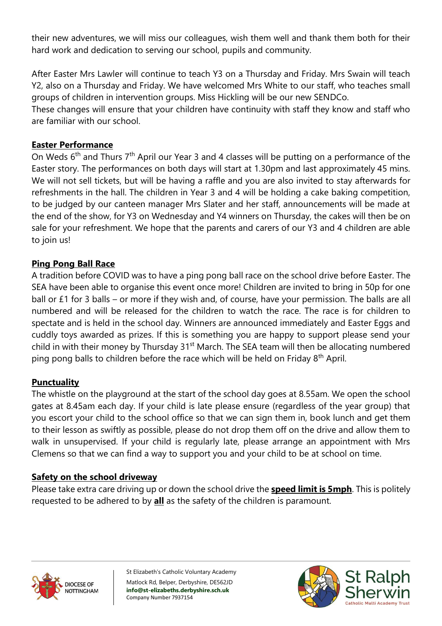their new adventures, we will miss our colleagues, wish them well and thank them both for their hard work and dedication to serving our school, pupils and community.

After Easter Mrs Lawler will continue to teach Y3 on a Thursday and Friday. Mrs Swain will teach Y2, also on a Thursday and Friday. We have welcomed Mrs White to our staff, who teaches small groups of children in intervention groups. Miss Hickling will be our new SENDCo.

These changes will ensure that your children have continuity with staff they know and staff who are familiar with our school.

### **Easter Performance**

On Weds 6<sup>th</sup> and Thurs 7<sup>th</sup> April our Year 3 and 4 classes will be putting on a performance of the Easter story. The performances on both days will start at 1.30pm and last approximately 45 mins. We will not sell tickets, but will be having a raffle and you are also invited to stay afterwards for refreshments in the hall. The children in Year 3 and 4 will be holding a cake baking competition, to be judged by our canteen manager Mrs Slater and her staff, announcements will be made at the end of the show, for Y3 on Wednesday and Y4 winners on Thursday, the cakes will then be on sale for your refreshment. We hope that the parents and carers of our Y3 and 4 children are able to join us!

## **Ping Pong Ball Race**

A tradition before COVID was to have a ping pong ball race on the school drive before Easter. The SEA have been able to organise this event once more! Children are invited to bring in 50p for one ball or £1 for 3 balls – or more if they wish and, of course, have your permission. The balls are all numbered and will be released for the children to watch the race. The race is for children to spectate and is held in the school day. Winners are announced immediately and Easter Eggs and cuddly toys awarded as prizes. If this is something you are happy to support please send your child in with their money by Thursday 31<sup>st</sup> March. The SEA team will then be allocating numbered ping pong balls to children before the race which will be held on Friday 8<sup>th</sup> April.

### **Punctuality**

The whistle on the playground at the start of the school day goes at 8.55am. We open the school gates at 8.45am each day. If your child is late please ensure (regardless of the year group) that you escort your child to the school office so that we can sign them in, book lunch and get them to their lesson as swiftly as possible, please do not drop them off on the drive and allow them to walk in unsupervised. If your child is regularly late, please arrange an appointment with Mrs Clemens so that we can find a way to support you and your child to be at school on time.

### **Safety on the school driveway**

Please take extra care driving up or down the school drive the **speed limit is 5mph**. This is politely requested to be adhered to by **all** as the safety of the children is paramount.



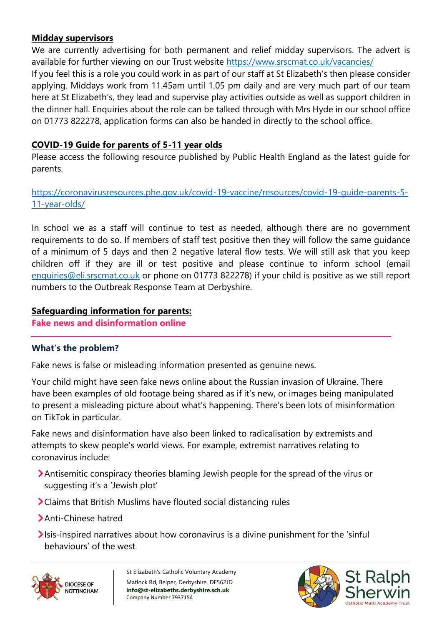## **Midday supervisors**

We are currently advertising for both permanent and relief midday supervisors. The advert is available for further viewing on our Trust website<https://www.srscmat.co.uk/vacancies/>

If you feel this is a role you could work in as part of our staff at St Elizabeth's then please consider applying. Middays work from 11.45am until 1.05 pm daily and are very much part of our team here at St Elizabeth's, they lead and supervise play activities outside as well as support children in the dinner hall. Enquiries about the role can be talked through with Mrs Hyde in our school office on 01773 822278, application forms can also be handed in directly to the school office.

# **COVID-19 Guide for parents of 5-11 year olds**

Please access the following resource published by Public Health England as the latest guide for parents.

[https://coronavirusresources.phe.gov.uk/covid-19-vaccine/resources/covid-19-guide-parents-5-](https://coronavirusresources.phe.gov.uk/covid-19-vaccine/resources/covid-19-guide-parents-5-11-year-olds/) [11-year-olds/](https://coronavirusresources.phe.gov.uk/covid-19-vaccine/resources/covid-19-guide-parents-5-11-year-olds/)

In school we as a staff will continue to test as needed, although there are no government requirements to do so. If members of staff test positive then they will follow the same guidance of a minimum of 5 days and then 2 negative lateral flow tests. We will still ask that you keep children off if they are ill or test positive and please continue to inform school (email [enquiries@eli.srscmat.co.uk](mailto:enquiries@eli.srscmat.co.uk) or phone on 01773 822278) if your child is positive as we still report numbers to the Outbreak Response Team at Derbyshire.

# **Safeguarding information for parents:**

**Fake news and disinformation online**

# **What's the problem?**

Fake news is false or misleading information presented as genuine news.

Your child might have seen fake news online about the Russian invasion of Ukraine. There have been examples of old footage being shared as if it's new, or images being manipulated to present a misleading picture about what's happening. There's been lots of misinformation on TikTok in particular.

Fake news and disinformation have also been linked to radicalisation by extremists and attempts to skew people's world views. For example, extremist narratives relating to coronavirus include:

- Antisemitic conspiracy theories blaming Jewish people for the spread of the virus or suggesting it's a 'Jewish plot'
- Claims that British Muslims have flouted social distancing rules
- > Anti-Chinese hatred
- Isis-inspired narratives about how coronavirus is a divine punishment for the 'sinful' behaviours' of the west



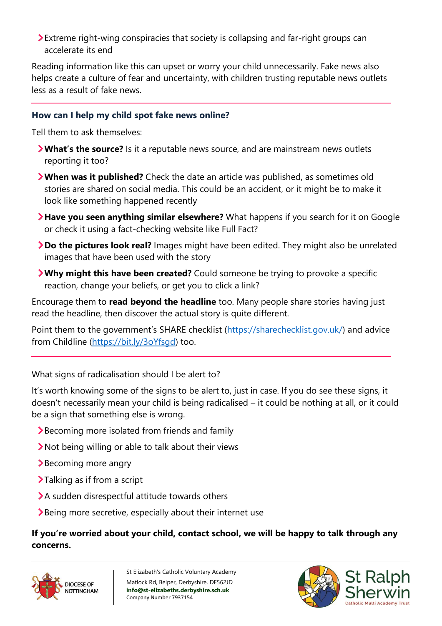Extreme right-wing conspiracies that society is collapsing and far-right groups can accelerate its end

Reading information like this can upset or worry your child unnecessarily. Fake news also helps create a culture of fear and uncertainty, with children trusting reputable news outlets less as a result of fake news.

### **How can I help my child spot fake news online?**

Tell them to ask themselves:

- **What's the source?** Is it a reputable news source, and are mainstream news outlets reporting it too?
- **When was it published?** Check the date an article was published, as sometimes old stories are shared on social media. This could be an accident, or it might be to make it look like something happened recently
- **Have you seen anything similar elsewhere?** What happens if you search for it on Google or check it using a fact-checking website like Full Fact?
- **Do the pictures look real?** Images might have been edited. They might also be unrelated images that have been used with the story
- **Why might this have been created?** Could someone be trying to provoke a specific reaction, change your beliefs, or get you to click a link?

Encourage them to **read beyond the headline** too. Many people share stories having just read the headline, then discover the actual story is quite different.

Point them to the government's SHARE checklist ([https://sharechecklist.gov.uk/\)](https://sharechecklist.gov.uk/) and advice from Childline (https://bit.ly/3oYfsqd) too.

What signs of radicalisation should I be alert to?

It's worth knowing some of the signs to be alert to, just in case. If you do see these signs, it doesn't necessarily mean your child is being radicalised – it could be nothing at all, or it could be a sign that something else is wrong.

- Becoming more isolated from friends and family
- Not being willing or able to talk about their views
- Becoming more angry
- Talking as if from a script
- A sudden disrespectful attitude towards others
- Being more secretive, especially about their internet use

## **If you're worried about your child, contact school, we will be happy to talk through any concerns.**